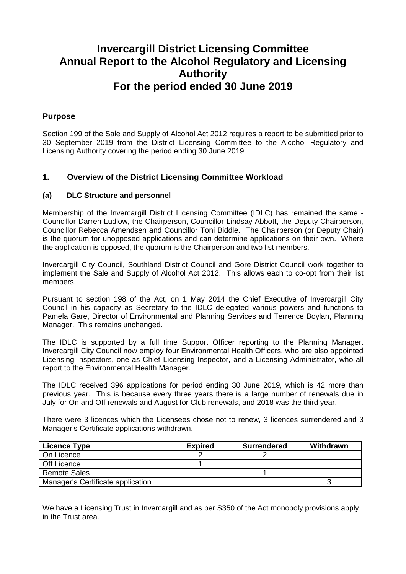### **Invercargill District Licensing Committee Annual Report to the Alcohol Regulatory and Licensing Authority For the period ended 30 June 2019**

#### **Purpose**

Section 199 of the Sale and Supply of Alcohol Act 2012 requires a report to be submitted prior to 30 September 2019 from the District Licensing Committee to the Alcohol Regulatory and Licensing Authority covering the period ending 30 June 2019.

#### **1. Overview of the District Licensing Committee Workload**

#### **(a) DLC Structure and personnel**

Membership of the Invercargill District Licensing Committee (IDLC) has remained the same - Councillor Darren Ludlow, the Chairperson, Councillor Lindsay Abbott, the Deputy Chairperson, Councillor Rebecca Amendsen and Councillor Toni Biddle. The Chairperson (or Deputy Chair) is the quorum for unopposed applications and can determine applications on their own. Where the application is opposed, the quorum is the Chairperson and two list members.

Invercargill City Council, Southland District Council and Gore District Council work together to implement the Sale and Supply of Alcohol Act 2012. This allows each to co-opt from their list members.

Pursuant to section 198 of the Act, on 1 May 2014 the Chief Executive of Invercargill City Council in his capacity as Secretary to the IDLC delegated various powers and functions to Pamela Gare, Director of Environmental and Planning Services and Terrence Boylan, Planning Manager. This remains unchanged.

The IDLC is supported by a full time Support Officer reporting to the Planning Manager. Invercargill City Council now employ four Environmental Health Officers, who are also appointed Licensing Inspectors, one as Chief Licensing Inspector, and a Licensing Administrator, who all report to the Environmental Health Manager.

The IDLC received 396 applications for period ending 30 June 2019, which is 42 more than previous year. This is because every three years there is a large number of renewals due in July for On and Off renewals and August for Club renewals, and 2018 was the third year.

There were 3 licences which the Licensees chose not to renew, 3 licences surrendered and 3 Manager's Certificate applications withdrawn.

| Licence Type                      | <b>Expired</b> | <b>Surrendered</b> | Withdrawn |
|-----------------------------------|----------------|--------------------|-----------|
| On Licence                        |                |                    |           |
| Off Licence                       |                |                    |           |
| <b>Remote Sales</b>               |                |                    |           |
| Manager's Certificate application |                |                    |           |

We have a Licensing Trust in Invercargill and as per S350 of the Act monopoly provisions apply in the Trust area.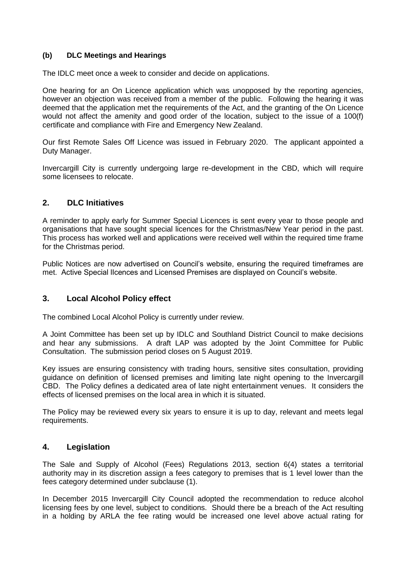#### **(b) DLC Meetings and Hearings**

The IDLC meet once a week to consider and decide on applications.

One hearing for an On Licence application which was unopposed by the reporting agencies, however an objection was received from a member of the public. Following the hearing it was deemed that the application met the requirements of the Act, and the granting of the On Licence would not affect the amenity and good order of the location, subject to the issue of a 100(f) certificate and compliance with Fire and Emergency New Zealand.

Our first Remote Sales Off Licence was issued in February 2020. The applicant appointed a Duty Manager.

Invercargill City is currently undergoing large re-development in the CBD, which will require some licensees to relocate.

#### **2. DLC Initiatives**

A reminder to apply early for Summer Special Licences is sent every year to those people and organisations that have sought special licences for the Christmas/New Year period in the past. This process has worked well and applications were received well within the required time frame for the Christmas period.

Public Notices are now advertised on Council's website, ensuring the required timeframes are met. Active Special lIcences and Licensed Premises are displayed on Council's website.

#### **3. Local Alcohol Policy effect**

The combined Local Alcohol Policy is currently under review.

A Joint Committee has been set up by IDLC and Southland District Council to make decisions and hear any submissions. A draft LAP was adopted by the Joint Committee for Public Consultation. The submission period closes on 5 August 2019.

Key issues are ensuring consistency with trading hours, sensitive sites consultation, providing guidance on definition of licensed premises and limiting late night opening to the Invercargill CBD. The Policy defines a dedicated area of late night entertainment venues. It considers the effects of licensed premises on the local area in which it is situated.

The Policy may be reviewed every six years to ensure it is up to day, relevant and meets legal requirements.

#### **4. Legislation**

The Sale and Supply of Alcohol (Fees) Regulations 2013, section 6(4) states a territorial authority may in its discretion assign a fees category to premises that is 1 level lower than the fees category determined under subclause (1).

In December 2015 Invercargill City Council adopted the recommendation to reduce alcohol licensing fees by one level, subject to conditions. Should there be a breach of the Act resulting in a holding by ARLA the fee rating would be increased one level above actual rating for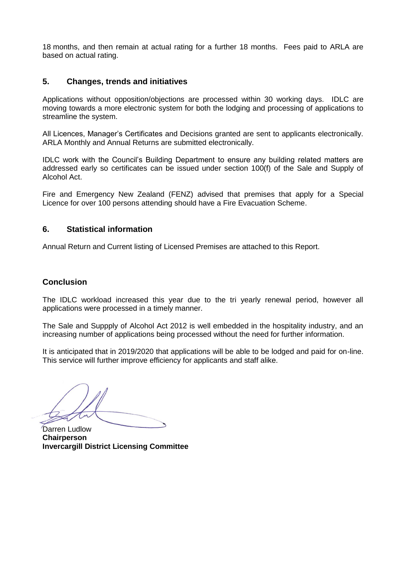18 months, and then remain at actual rating for a further 18 months. Fees paid to ARLA are based on actual rating.

#### **5. Changes, trends and initiatives**

Applications without opposition/objections are processed within 30 working days. IDLC are moving towards a more electronic system for both the lodging and processing of applications to streamline the system.

All Licences, Manager's Certificates and Decisions granted are sent to applicants electronically. ARLA Monthly and Annual Returns are submitted electronically.

IDLC work with the Council's Building Department to ensure any building related matters are addressed early so certificates can be issued under section 100(f) of the Sale and Supply of Alcohol Act.

Fire and Emergency New Zealand (FENZ) advised that premises that apply for a Special Licence for over 100 persons attending should have a Fire Evacuation Scheme.

#### **6. Statistical information**

Annual Return and Current listing of Licensed Premises are attached to this Report.

#### **Conclusion**

The IDLC workload increased this year due to the tri yearly renewal period, however all applications were processed in a timely manner.

The Sale and Suppply of Alcohol Act 2012 is well embedded in the hospitality industry, and an increasing number of applications being processed without the need for further information.

It is anticipated that in 2019/2020 that applications will be able to be lodged and paid for on-line. This service will further improve efficiency for applicants and staff alike.

Darren Ludlow **Chairperson Invercargill District Licensing Committee**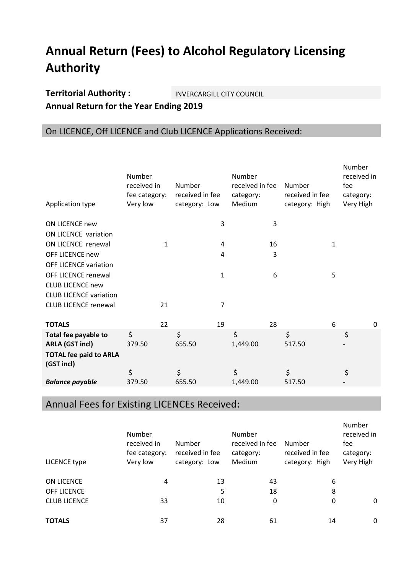# **Annual Return (Fees) to Alcohol Regulatory Licensing Authority**

### **Territorial Authority : INVERCARGILL CITY COUNCIL Annual Return for the Year Ending 2019**

### On LICENCE, Off LICENCE and Club LICENCE Applications Received:

| Application type                            | Number<br>received in<br>fee category:<br>Very low |    | Number<br>received in fee<br>category: Low |              | Number<br>received in fee<br>category:<br>Medium |    | Number<br>received in fee<br>category: High |   | Number<br>received in<br>fee<br>category:<br>Very High |   |
|---------------------------------------------|----------------------------------------------------|----|--------------------------------------------|--------------|--------------------------------------------------|----|---------------------------------------------|---|--------------------------------------------------------|---|
| <b>ON LICENCE new</b>                       |                                                    |    |                                            | 3            |                                                  | 3  |                                             |   |                                                        |   |
| ON LICENCE variation                        |                                                    |    |                                            |              |                                                  |    |                                             |   |                                                        |   |
| ON LICENCE renewal                          |                                                    | 1  |                                            | 4            |                                                  | 16 |                                             | 1 |                                                        |   |
| OFF LICENCE new                             |                                                    |    |                                            | 4            |                                                  | 3  |                                             |   |                                                        |   |
| <b>OFF LICENCE variation</b>                |                                                    |    |                                            |              |                                                  |    |                                             |   |                                                        |   |
| OFF LICENCE renewal                         |                                                    |    |                                            | $\mathbf{1}$ |                                                  | 6  |                                             | 5 |                                                        |   |
| <b>CLUB LICENCE new</b>                     |                                                    |    |                                            |              |                                                  |    |                                             |   |                                                        |   |
| <b>CLUB LICENCE variation</b>               |                                                    |    |                                            |              |                                                  |    |                                             |   |                                                        |   |
| <b>CLUB LICENCE renewal</b>                 |                                                    | 21 |                                            | 7            |                                                  |    |                                             |   |                                                        |   |
|                                             |                                                    |    |                                            |              |                                                  |    |                                             |   |                                                        |   |
| <b>TOTALS</b>                               |                                                    | 22 |                                            | 19           |                                                  | 28 |                                             | 6 |                                                        | 0 |
| Total fee payable to                        | \$                                                 |    | \$                                         |              | \$                                               |    | \$                                          |   | \$                                                     |   |
| <b>ARLA (GST incl)</b>                      | 379.50                                             |    | 655.50                                     |              | 1,449.00                                         |    | 517.50                                      |   |                                                        |   |
| <b>TOTAL fee paid to ARLA</b><br>(GST incl) |                                                    |    |                                            |              |                                                  |    |                                             |   |                                                        |   |
|                                             | \$                                                 |    | \$                                         |              | \$                                               |    | \$                                          |   | \$                                                     |   |
| <b>Balance payable</b>                      | 379.50                                             |    | 655.50                                     |              | 1,449.00                                         |    | 517.50                                      |   |                                                        |   |
|                                             |                                                    |    |                                            |              |                                                  |    |                                             |   |                                                        |   |

## Annual Fees for Existing LICENCEs Received:

| LICENCE type        | Number<br>received in<br>fee category:<br>Very low | Number<br>received in fee<br>category: Low | Number<br>received in fee<br>category:<br>Medium | Number<br>received in fee<br>category: High | Number<br>received in<br>fee<br>category:<br>Very High |
|---------------------|----------------------------------------------------|--------------------------------------------|--------------------------------------------------|---------------------------------------------|--------------------------------------------------------|
| ON LICENCE          | 4                                                  | 13                                         | 43                                               | 6                                           |                                                        |
| <b>OFF LICENCE</b>  |                                                    | 5                                          | 18                                               | 8                                           |                                                        |
| <b>CLUB LICENCE</b> | 33                                                 | 10                                         | 0                                                | 0                                           | $\mathbf 0$                                            |
| <b>TOTALS</b>       | 37                                                 | 28                                         | 61                                               | 14                                          | $\mathbf 0$                                            |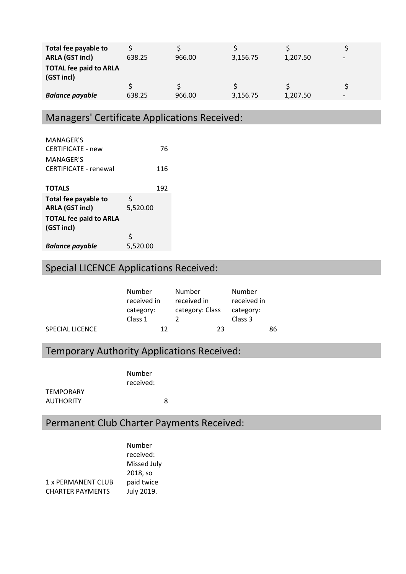| Total fee payable to<br><b>ARLA (GST incl)</b> | 638.25 | 966.00 | 3,156.75 | 1,207.50 | $\overline{\phantom{0}}$ |
|------------------------------------------------|--------|--------|----------|----------|--------------------------|
| <b>TOTAL fee paid to ARLA</b><br>(GST incl)    |        |        |          |          |                          |
|                                                |        |        |          |          |                          |
| <b>Balance payable</b>                         | 638.25 | 966.00 | 3,156.75 | 1,207.50 | $\overline{\phantom{0}}$ |

## Managers' Certificate Applications Received:

| <b>MANAGER'S</b>              |          |     |
|-------------------------------|----------|-----|
| <b>CERTIFICATE - new</b>      |          | 76  |
| MANAGFR'S                     |          |     |
| <b>CERTIFICATE - renewal</b>  |          | 116 |
|                               |          |     |
| <b>TOTALS</b>                 |          | 192 |
| Total fee payable to          | \$       |     |
| <b>ARLA (GST incl)</b>        | 5.520.00 |     |
| <b>TOTAL fee paid to ARLA</b> |          |     |
| (GST incl)                    |          |     |
|                               | Ś        |     |
| <b>Balance payable</b>        | 5,520.00 |     |

# Special LICENCE Applications Received:

|                 | Number      | Number          | Number      |    |
|-----------------|-------------|-----------------|-------------|----|
|                 | received in | received in     | received in |    |
|                 | category:   | category: Class | category:   |    |
|                 | Class 1     |                 | Class 3     |    |
| SPECIAL LICENCE | 12          | 23              |             | 86 |

## Temporary Authority Applications Received:

Number received:

**TEMPORARY** AUTHORITY 8

## Permanent Club Charter Payments Received:

|                         | Number      |
|-------------------------|-------------|
|                         | received:   |
|                         | Missed July |
|                         | 2018, so    |
| 1 x PERMANENT CLUB      | paid twice  |
| <b>CHARTER PAYMENTS</b> | July 2019.  |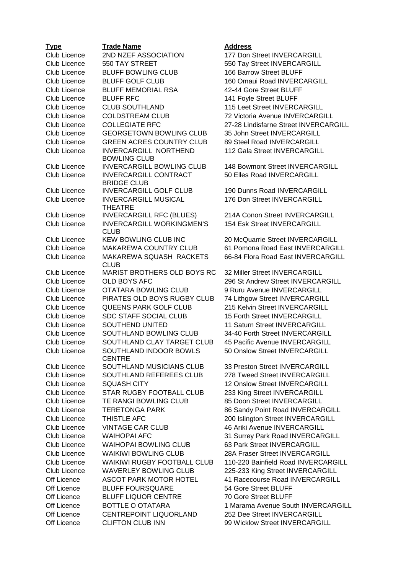| <b>Type</b>         | <b>Trade Name</b>                                   |
|---------------------|-----------------------------------------------------|
| Club Licence        | 2ND NZEF ASSOCIATION                                |
| Club Licence        | 550 TAY STREET                                      |
| <b>Club Licence</b> | <b>BLUFF BOWLING CLUB</b>                           |
| Club Licence        | <b>BLUFF GOLF CLUB</b>                              |
| Club Licence        | <b>BLUFF MEMORIAL RSA</b>                           |
| Club Licence        | <b>BLUFF RFC</b>                                    |
| <b>Club Licence</b> | <b>CLUB SOUTHLAND</b>                               |
| <b>Club Licence</b> | <b>COLDSTREAM CLUB</b>                              |
| Club Licence        | <b>COLLEGIATE RFC</b>                               |
| Club Licence        | <b>GEORGETOWN BOWLING CLUB</b>                      |
| <b>Club Licence</b> | <b>GREEN ACRES COUNTRY CLUB</b>                     |
| Club Licence        | <b>INVERCARGILL NORTHEND</b><br><b>BOWLING CLUB</b> |
| Club Licence        | <b>INVERCARGILL BOWLING CLUB</b>                    |
| <b>Club Licence</b> | <b>INVERCARGILL CONTRACT</b>                        |
|                     | <b>BRIDGE CLUB</b>                                  |
| Club Licence        | <b>INVERCARGILL GOLF CLUB</b>                       |
| <b>Club Licence</b> | <b>INVERCARGILL MUSICAL</b><br><b>THEATRE</b>       |
| Club Licence        | <b>INVERCARGILL RFC (BLUES)</b>                     |
| <b>Club Licence</b> | <b>INVERCARGILL WORKINGMEN'S</b><br><b>CLUB</b>     |
| Club Licence        | <b>KEW BOWLING CLUB INC</b>                         |
| <b>Club Licence</b> | <b>MAKAREWA COUNTRY CLUB</b>                        |
| <b>Club Licence</b> | MAKAREWA SQUASH RACKETS<br><b>CLUB</b>              |
| Club Licence        | MARIST BROTHERS OLD BOYS RC                         |
| Club Licence        | <b>OLD BOYS AFC</b>                                 |
| Club Licence        | OTATARA BOWLING CLUB                                |
| <b>Club Licence</b> | PIRATES OLD BOYS RUGBY CLUB                         |
| <b>Club Licence</b> | <b>QUEENS PARK GOLF CLUB</b>                        |
| <b>Club Licence</b> | <b>SDC STAFF SOCIAL CLUB</b>                        |
| Club Licence        | SOUTHEND UNITED                                     |
| Club Licence        | SOUTHLAND BOWLING CLUB                              |
| <b>Club Licence</b> | SOUTHLAND CLAY TARGET CLUB                          |
| <b>Club Licence</b> | SOUTHLAND INDOOR BOWLS<br><b>CENTRE</b>             |
| Club Licence        | SOUTHLAND MUSICIANS CLUB                            |
| Club Licence        | SOUTHLAND REFEREES CLUB                             |
| Club Licence        | <b>SQUASH CITY</b>                                  |
| Club Licence        | STAR RUGBY FOOTBALL CLUB                            |
| Club Licence        | TE RANGI BOWLING CLUB                               |
| Club Licence        | <b>TERETONGA PARK</b>                               |
| Club Licence        | THISTLE AFC                                         |
| Club Licence        | <b>VINTAGE CAR CLUB</b>                             |
| Club Licence        | <b>WAIHOPAI AFC</b>                                 |
| Club Licence        | <b>WAIHOPAI BOWLING CLUB</b>                        |
| Club Licence        | <b>WAIKIWI BOWLING CLUB</b>                         |
| Club Licence        | WAIKIWI RUGBY FOOTBALL CLUB                         |
| Club Licence        | <b>WAVERLEY BOWLING CLUB</b>                        |
| Off Licence         | <b>ASCOT PARK MOTOR HOTEL</b>                       |
| Off Licence         | <b>BLUFF FOURSQUARE</b>                             |
| Off Licence         | <b>BLUFF LIQUOR CENTRE</b>                          |
| Off Licence         | <b>BOTTLE O OTATARA</b>                             |
| <b>Off Licence</b>  | CENTREPOINT LIQUORLAND                              |
| Off Licence         | <b>CLIFTON CLUB INN</b>                             |

#### **Type Trade Name Address**

177 Don Street INVERCARGILL 550 Tay Street INVERCARGILL 166 Barrow Street BLUFF 160 Omaui Road INVERCARGILL 42-44 Gore Street BLUFF 141 Foyle Street BLUFF 115 Leet Street INVERCARGILL 72 Victoria Avenue INVERCARGILL 27-28 Lindisfarne Street INVERCARGILL 35 John Street INVERCARGILL 89 Steel Road INVERCARGILL 112 Gala Street INVERCARGILL 148 Bowmont Street INVERCARGILL 50 Elles Road INVERCARGILL

190 Dunns Road INVERCARGILL 176 Don Street INVERCARGILL

214A Conon Street INVERCARGILL 154 Esk Street INVERCARGILL

20 McQuarrie Street INVERCARGILL 61 Pomona Road East INVERCARGILL 66-84 Flora Road East INVERCARGILL

32 Miller Street INVERCARGILL 296 St Andrew Street INVERCARGILL 9 Ruru Avenue INVERCARGILL **74 Lithgow Street INVERCARGILL** 215 Kelvin Street INVERCARGILL 15 Forth Street INVERCARGILL 11 Saturn Street INVERCARGILL 34-40 Forth Street INVERCARGILL 45 Pacific Avenue INVERCARGILL 50 Onslow Street INVERCARGILL

33 Preston Street INVERCARGILL 278 Tweed Street INVERCARGILL 12 Onslow Street INVERCARGILL 233 King Street INVERCARGILL 85 Doon Street INVERCARGILL 86 Sandy Point Road INVERCARGILL 200 Islington Street INVERCARGILL 46 Ariki Avenue INVERCARGILL 31 Surrey Park Road INVERCARGILL 63 Park Street INVERCARGILL 28A Fraser Street INVERCARGILL 110-220 Bainfield Road INVERCARGILL 225-233 King Street INVERCARGILL 41 Racecourse Road INVERCARGILL 54 Gore Street BLUFF 70 Gore Street BLUFF 1 Marama Avenue South INVERCARGILL 252 Dee Street INVERCARGILL 99 Wicklow Street INVERCARGILL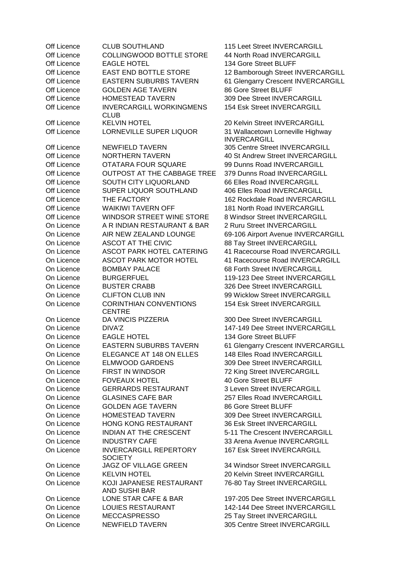Off Licence COLLINGWOOD BOTTLE STORE 44 North Road INVERCARGILL Off Licence EAGLE HOTEL 134 Gore Street BLUFF Off Licence **EAST END BOTTLE STORE** 12 Bamborough Street INVERCARGILL Off Licence EASTERN SUBURBS TAVERN 61 Glengarry Crescent INVERCARGILL Off Licence GOLDEN AGE TAVERN 86 Gore Street BLUFF Off Licence HOMESTEAD TAVERN 309 Dee Street INVERCARGILL Off Licence **INVERCARGILL WORKINGMENS** CLUB Off Licence KELVIN HOTEL 20 Kelvin Street INVERCARGILL Off Licence LORNEVILLE SUPER LIQUOR 31 Wallacetown Lorneville Highway Off Licence NEWFIELD TAVERN 305 Centre Street INVERCARGILL Off Licence NORTHERN TAVERN 40 St Andrew Street INVERCARGILL Off Licence OTATARA FOUR SQUARE 99 Dunns Road INVERCARGILL Off Licence OUTPOST AT THE CABBAGE TREE 379 Dunns Road INVERCARGILL Off Licence SOUTH CITY LIQUORLAND 66 Elles Road INVERCARGILL Off Licence SUPER LIQUOR SOUTHLAND 406 Elles Road INVERCARGILL Off Licence THE FACTORY 162 Rockdale Road INVERCARGILL Off Licence WAIKIWI TAVERN OFF 181 North Road INVERCARGILL Off Licence WINDSOR STREET WINE STORE 8 Windsor Street INVERCARGILL On Licence A R INDIAN RESTAURANT & BAR 2 Ruru Street INVERCARGILL On Licence AIR NEW ZEALAND LOUNGE 69-106 Airport Avenue INVERCARGILL On Licence ASCOT AT THE CIVIC 88 Tay Street INVERCARGILL On Licence ASCOT PARK HOTEL CATERING 41 Racecourse Road INVERCARGILL On Licence ASCOT PARK MOTOR HOTEL 41 Racecourse Road INVERCARGILL On Licence BOMBAY PALACE 68 Forth Street INVERCARGILL On Licence BURGERFUEL 119-123 Dee Street INVERCARGILL On Licence BUSTER CRABB 326 Dee Street INVERCARGILL On Licence CLIFTON CLUB INN 99 Wicklow Street INVERCARGILL On Licence CORINTHIAN CONVENTIONS **CENTRE** On Licence DA VINCIS PIZZERIA 300 Dee Street INVERCARGILL On Licence DIVA'Z 147-149 Dee Street INVERCARGILL On Licence EAGLE HOTEL 134 Gore Street BLUFF On Licence EASTERN SUBURBS TAVERN 61 Glengarry Crescent INVERCARGILL On Licence **ELEGANCE AT 148 ON ELLES** 148 Elles Road INVERCARGILL On Licence ELMWOOD GARDENS 309 Dee Street INVERCARGILL On Licence FIRST IN WINDSOR 72 King Street INVERCARGILL On Licence FOVEAUX HOTEL 40 Gore Street BLUFF On Licence GERRARDS RESTAURANT 3 Leven Street INVERCARGILL On Licence GLASINES CAFE BAR 257 Elles Road INVERCARGILL On Licence GOLDEN AGE TAVERN 86 Gore Street BLUFF On Licence HOMESTEAD TAVERN 309Dee Street INVERCARGILL On Licence HONG KONG RESTAURANT 36 Esk Street INVERCARGILL On Licence INDIAN AT THE CRESCENT 5-11The Crescent INVERCARGILL On Licence INDUSTRY CAFE 33 Arena Avenue INVERCARGILL On Licence INVERCARGILL REPERTORY **SOCIETY** On Licence JAGZ OF VILLAGE GREEN 34 Windsor Street INVERCARGILL On Licence KELVIN HOTEL 20 Kelvin Street INVERCARGILL On Licence KOJI JAPANESE RESTAURANT AND SUSHI BAR<br>LONE STAR CAFE & BAR On Licence LONE STAR CAFE & BAR 197-205 Dee Street INVERCARGILL On Licence LOUIES RESTAURANT 142-144 Dee Street INVERCARGILL On Licence MECCASPRESSO 25 Tay Street INVERCARGILL On Licence NEWFIELD TAVERN 305 Centre Street INVERCARGILL

Off Licence CLUB SOUTHLAND 115 Leet Street INVERCARGILL 154 Esk Street INVERCARGILL INVERCARGILL

154 Esk Street INVERCARGILL

167 Esk Street INVERCARGILL

76-80 Tay Street INVERCARGILL